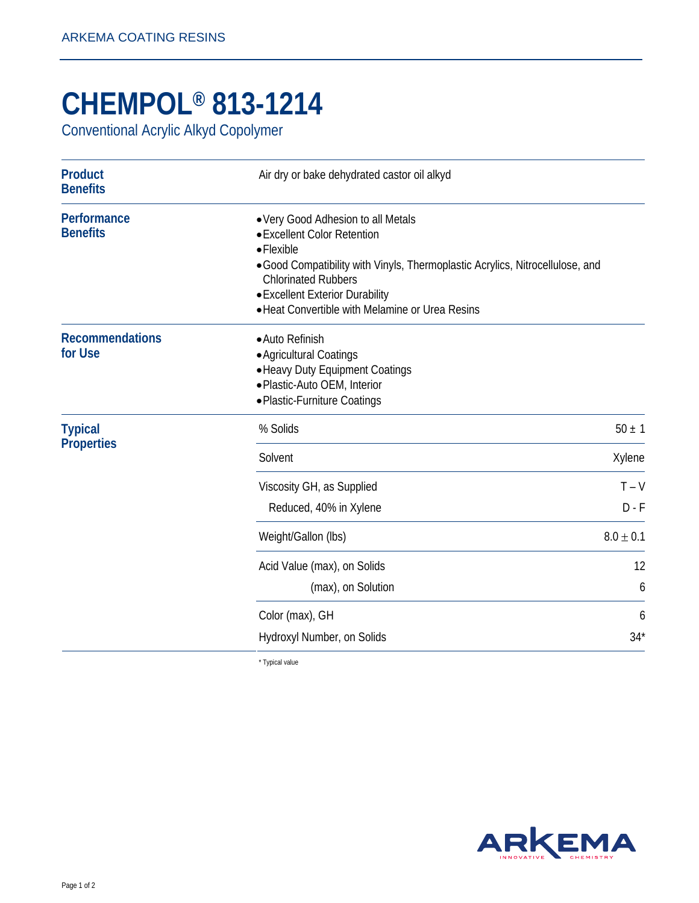## **CHEMPOL® 813-1214**

Conventional Acrylic Alkyd Copolymer

| <b>Product</b><br><b>Benefits</b>   | Air dry or bake dehydrated castor oil alkyd                                                                                                                                                                                                                                                  |                    |
|-------------------------------------|----------------------------------------------------------------------------------------------------------------------------------------------------------------------------------------------------------------------------------------------------------------------------------------------|--------------------|
| Performance<br><b>Benefits</b>      | • Very Good Adhesion to all Metals<br>• Excellent Color Retention<br>$\bullet$ Flexible<br>• Good Compatibility with Vinyls, Thermoplastic Acrylics, Nitrocellulose, and<br><b>Chlorinated Rubbers</b><br>• Excellent Exterior Durability<br>• Heat Convertible with Melamine or Urea Resins |                    |
| <b>Recommendations</b><br>for Use   | • Auto Refinish<br>• Agricultural Coatings<br>• Heavy Duty Equipment Coatings<br>· Plastic-Auto OEM, Interior<br>• Plastic-Furniture Coatings                                                                                                                                                |                    |
| <b>Typical</b><br><b>Properties</b> | % Solids                                                                                                                                                                                                                                                                                     | $50 \pm 1$         |
|                                     | Solvent                                                                                                                                                                                                                                                                                      | Xylene             |
|                                     | Viscosity GH, as Supplied<br>Reduced, 40% in Xylene                                                                                                                                                                                                                                          | $T - V$<br>$D - F$ |
|                                     | Weight/Gallon (lbs)                                                                                                                                                                                                                                                                          | $8.0 \pm 0.1$      |
|                                     | Acid Value (max), on Solids<br>(max), on Solution                                                                                                                                                                                                                                            | 12<br>6            |
|                                     | Color (max), GH                                                                                                                                                                                                                                                                              | 6                  |
|                                     | Hydroxyl Number, on Solids                                                                                                                                                                                                                                                                   | $34*$              |

\* Typical value